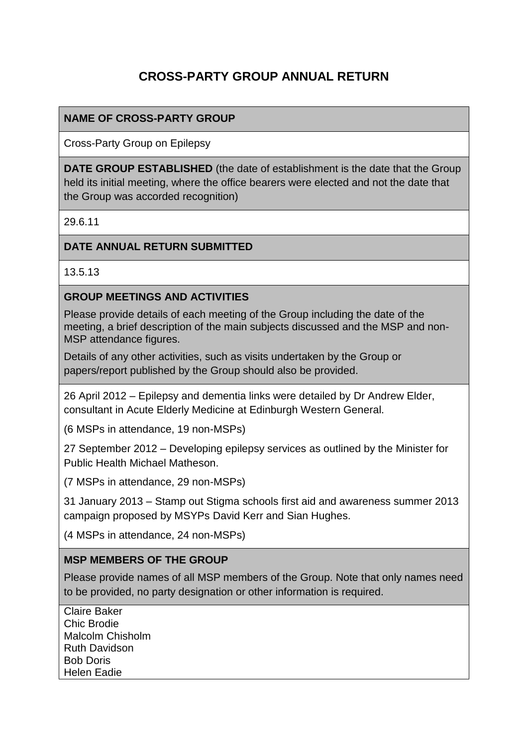# **CROSS-PARTY GROUP ANNUAL RETURN**

## **NAME OF CROSS-PARTY GROUP**

Cross-Party Group on Epilepsy

**DATE GROUP ESTABLISHED** (the date of establishment is the date that the Group held its initial meeting, where the office bearers were elected and not the date that the Group was accorded recognition)

29.6.11

#### **DATE ANNUAL RETURN SUBMITTED**

13.5.13

#### **GROUP MEETINGS AND ACTIVITIES**

Please provide details of each meeting of the Group including the date of the meeting, a brief description of the main subjects discussed and the MSP and non-MSP attendance figures.

Details of any other activities, such as visits undertaken by the Group or papers/report published by the Group should also be provided.

26 April 2012 – Epilepsy and dementia links were detailed by Dr Andrew Elder, consultant in Acute Elderly Medicine at Edinburgh Western General.

(6 MSPs in attendance, 19 non-MSPs)

27 September 2012 – Developing epilepsy services as outlined by the Minister for Public Health Michael Matheson.

(7 MSPs in attendance, 29 non-MSPs)

31 January 2013 – Stamp out Stigma schools first aid and awareness summer 2013 campaign proposed by MSYPs David Kerr and Sian Hughes.

(4 MSPs in attendance, 24 non-MSPs)

#### **MSP MEMBERS OF THE GROUP**

Please provide names of all MSP members of the Group. Note that only names need to be provided, no party designation or other information is required.

Claire Baker Chic Brodie Malcolm Chisholm Ruth Davidson Bob Doris Helen Eadie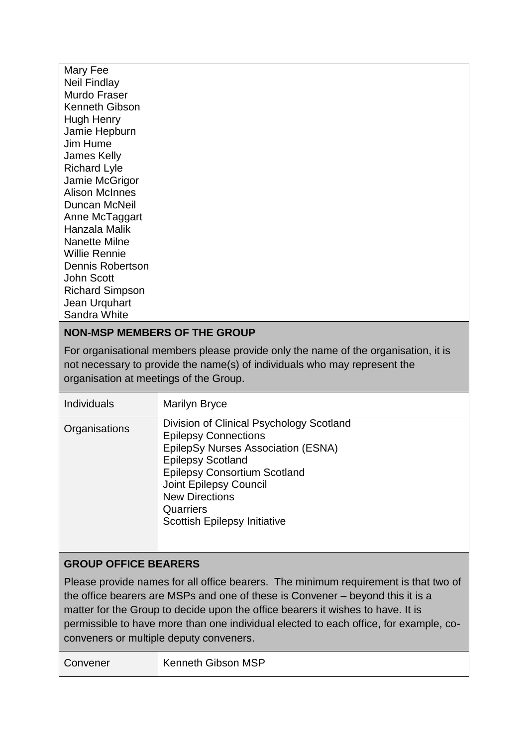Mary Fee Neil Findlay Murdo Fraser Kenneth Gibson Hugh Henry Jamie Hepburn Jim Hume James Kelly Richard Lyle Jamie McGrigor Alison McInnes Duncan McNeil Anne McTaggart Hanzala Malik Nanette Milne Willie Rennie Dennis Robertson John Scott Richard Simpson Jean Urquhart Sandra White

## **NON-MSP MEMBERS OF THE GROUP**

For organisational members please provide only the name of the organisation, it is not necessary to provide the name(s) of individuals who may represent the organisation at meetings of the Group.

| <b>Individuals</b>                                                                                                                                                                                                                                                                                                                                                                           | <b>Marilyn Bryce</b>                                                                                                                                                                                                                                                                           |  |
|----------------------------------------------------------------------------------------------------------------------------------------------------------------------------------------------------------------------------------------------------------------------------------------------------------------------------------------------------------------------------------------------|------------------------------------------------------------------------------------------------------------------------------------------------------------------------------------------------------------------------------------------------------------------------------------------------|--|
| Organisations                                                                                                                                                                                                                                                                                                                                                                                | Division of Clinical Psychology Scotland<br><b>Epilepsy Connections</b><br>EpilepSy Nurses Association (ESNA)<br><b>Epilepsy Scotland</b><br><b>Epilepsy Consortium Scotland</b><br><b>Joint Epilepsy Council</b><br><b>New Directions</b><br>Quarriers<br><b>Scottish Epilepsy Initiative</b> |  |
| <b>GROUP OFFICE BEARERS</b>                                                                                                                                                                                                                                                                                                                                                                  |                                                                                                                                                                                                                                                                                                |  |
| Please provide names for all office bearers. The minimum requirement is that two of<br>the office bearers are MSPs and one of these is Convener – beyond this it is a<br>matter for the Group to decide upon the office bearers it wishes to have. It is<br>permissible to have more than one individual elected to each office, for example, co-<br>conveners or multiple deputy conveners. |                                                                                                                                                                                                                                                                                                |  |
| Convener                                                                                                                                                                                                                                                                                                                                                                                     | <b>Kenneth Gibson MSP</b>                                                                                                                                                                                                                                                                      |  |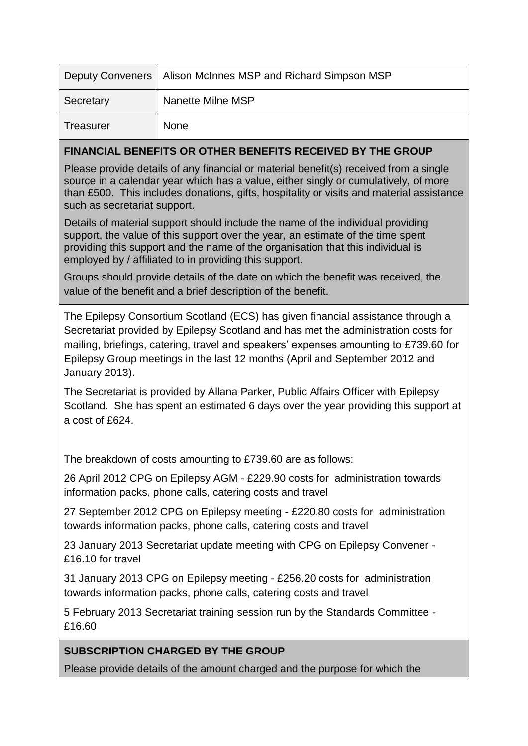|           | Deputy Conveners   Alison McInnes MSP and Richard Simpson MSP |
|-----------|---------------------------------------------------------------|
| Secretary | Nanette Milne MSP                                             |
| Treasurer | None                                                          |

## **FINANCIAL BENEFITS OR OTHER BENEFITS RECEIVED BY THE GROUP**

Please provide details of any financial or material benefit(s) received from a single source in a calendar year which has a value, either singly or cumulatively, of more than £500. This includes donations, gifts, hospitality or visits and material assistance such as secretariat support.

Details of material support should include the name of the individual providing support, the value of this support over the year, an estimate of the time spent providing this support and the name of the organisation that this individual is employed by / affiliated to in providing this support.

Groups should provide details of the date on which the benefit was received, the value of the benefit and a brief description of the benefit.

The Epilepsy Consortium Scotland (ECS) has given financial assistance through a Secretariat provided by Epilepsy Scotland and has met the administration costs for mailing, briefings, catering, travel and speakers' expenses amounting to £739.60 for Epilepsy Group meetings in the last 12 months (April and September 2012 and January 2013).

The Secretariat is provided by Allana Parker, Public Affairs Officer with Epilepsy Scotland. She has spent an estimated 6 days over the year providing this support at a cost of £624.

The breakdown of costs amounting to £739.60 are as follows:

26 April 2012 CPG on Epilepsy AGM - £229.90 costs for administration towards information packs, phone calls, catering costs and travel

27 September 2012 CPG on Epilepsy meeting - £220.80 costs for administration towards information packs, phone calls, catering costs and travel

23 January 2013 Secretariat update meeting with CPG on Epilepsy Convener - £16.10 for travel

31 January 2013 CPG on Epilepsy meeting - £256.20 costs for administration towards information packs, phone calls, catering costs and travel

5 February 2013 Secretariat training session run by the Standards Committee - £16.60

## **SUBSCRIPTION CHARGED BY THE GROUP**

Please provide details of the amount charged and the purpose for which the